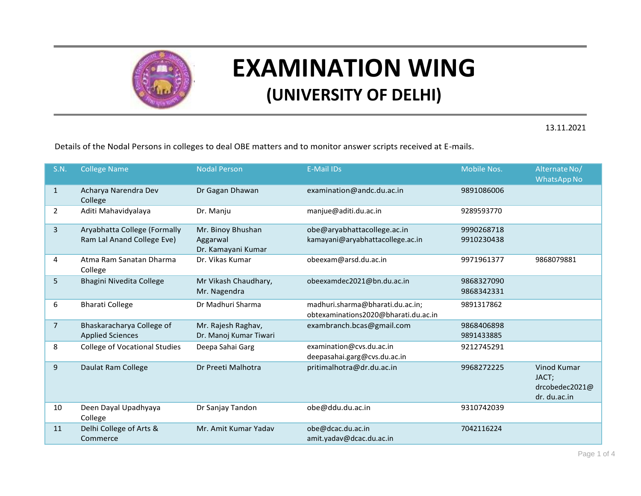

## **EXAMINATION WING (UNIVERSITY OF DELHI)**

13.11.2021

Details of the Nodal Persons in colleges to deal OBE matters and to monitor answer scripts received at E-mails.

| <b>S.N.</b>    | <b>College Name</b>                                        | <b>Nodal Person</b>                                 | <b>E-Mail IDs</b>                                                        | <b>Mobile Nos.</b>       | Alternate No/<br><b>WhatsApp No</b>                    |
|----------------|------------------------------------------------------------|-----------------------------------------------------|--------------------------------------------------------------------------|--------------------------|--------------------------------------------------------|
| $\mathbf{1}$   | Acharya Narendra Dev<br>College                            | Dr Gagan Dhawan                                     | examination@andc.du.ac.in                                                | 9891086006               |                                                        |
| $\overline{2}$ | Aditi Mahavidyalaya                                        | Dr. Manju                                           | manjue@aditi.du.ac.in                                                    | 9289593770               |                                                        |
| 3              | Aryabhatta College (Formally<br>Ram Lal Anand College Eve) | Mr. Binoy Bhushan<br>Aggarwal<br>Dr. Kamayani Kumar | obe@aryabhattacollege.ac.in<br>kamayani@aryabhattacollege.ac.in          | 9990268718<br>9910230438 |                                                        |
| 4              | Atma Ram Sanatan Dharma<br>College                         | Dr. Vikas Kumar                                     | obeexam@arsd.du.ac.in                                                    | 9971961377               | 9868079881                                             |
| 5              | Bhagini Nivedita College                                   | Mr Vikash Chaudhary,<br>Mr. Nagendra                | obeexamdec2021@bn.du.ac.in                                               | 9868327090<br>9868342331 |                                                        |
| 6              | <b>Bharati College</b>                                     | Dr Madhuri Sharma                                   | madhuri.sharma@bharati.du.ac.in;<br>obtexaminations2020@bharati.du.ac.in | 9891317862               |                                                        |
| $\overline{7}$ | Bhaskaracharya College of<br><b>Applied Sciences</b>       | Mr. Rajesh Raghav,<br>Dr. Manoj Kumar Tiwari        | exambranch.bcas@gmail.com                                                | 9868406898<br>9891433885 |                                                        |
| 8              | <b>College of Vocational Studies</b>                       | Deepa Sahai Garg                                    | examination@cvs.du.ac.in<br>deepasahai.garg@cvs.du.ac.in                 | 9212745291               |                                                        |
| 9              | Daulat Ram College                                         | Dr Preeti Malhotra                                  | pritimalhotra@dr.du.ac.in                                                | 9968272225               | Vinod Kumar<br>JACT;<br>drcobedec2021@<br>dr. du.ac.in |
| 10             | Deen Dayal Upadhyaya<br>College                            | Dr Sanjay Tandon                                    | obe@ddu.du.ac.in                                                         | 9310742039               |                                                        |
| 11             | Delhi College of Arts &<br>Commerce                        | Mr. Amit Kumar Yadav                                | obe@dcac.du.ac.in<br>amit.yadav@dcac.du.ac.in                            | 7042116224               |                                                        |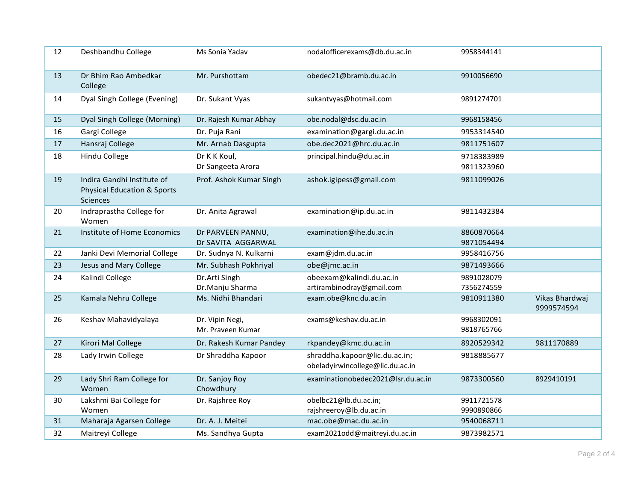| 12 | Deshbandhu College                                                                      | Ms Sonia Yadav                          | nodalofficerexams@db.du.ac.in                                     | 9958344141               |                              |
|----|-----------------------------------------------------------------------------------------|-----------------------------------------|-------------------------------------------------------------------|--------------------------|------------------------------|
| 13 | Dr Bhim Rao Ambedkar<br>College                                                         | Mr. Purshottam                          | obedec21@bramb.du.ac.in                                           | 9910056690               |                              |
| 14 | Dyal Singh College (Evening)                                                            | Dr. Sukant Vyas                         | sukantvyas@hotmail.com                                            | 9891274701               |                              |
| 15 | Dyal Singh College (Morning)                                                            | Dr. Rajesh Kumar Abhay                  | obe.nodal@dsc.du.ac.in                                            | 9968158456               |                              |
| 16 | Gargi College                                                                           | Dr. Puja Rani                           | examination@gargi.du.ac.in                                        | 9953314540               |                              |
| 17 | Hansraj College                                                                         | Mr. Arnab Dasgupta                      | obe.dec2021@hrc.du.ac.in                                          | 9811751607               |                              |
| 18 | Hindu College                                                                           | Dr K K Koul,<br>Dr Sangeeta Arora       | principal.hindu@du.ac.in                                          | 9718383989<br>9811323960 |                              |
| 19 | Indira Gandhi Institute of<br><b>Physical Education &amp; Sports</b><br><b>Sciences</b> | Prof. Ashok Kumar Singh                 | ashok.igipess@gmail.com                                           | 9811099026               |                              |
| 20 | Indraprastha College for<br>Women                                                       | Dr. Anita Agrawal                       | examination@ip.du.ac.in                                           | 9811432384               |                              |
| 21 | Institute of Home Economics                                                             | Dr PARVEEN PANNU,<br>Dr SAVITA AGGARWAL | examination@ihe.du.ac.in                                          | 8860870664<br>9871054494 |                              |
| 22 | Janki Devi Memorial College                                                             | Dr. Sudnya N. Kulkarni                  | exam@jdm.du.ac.in                                                 | 9958416756               |                              |
| 23 | Jesus and Mary College                                                                  | Mr. Subhash Pokhriyal                   | obe@jmc.ac.in                                                     | 9871493666               |                              |
| 24 | Kalindi College                                                                         | Dr.Arti Singh<br>Dr.Manju Sharma        | obeexam@kalindi.du.ac.in<br>artirambinodray@gmail.com             | 9891028079<br>7356274559 |                              |
| 25 | Kamala Nehru College                                                                    | Ms. Nidhi Bhandari                      | exam.obe@knc.du.ac.in                                             | 9810911380               | Vikas Bhardwaj<br>9999574594 |
| 26 | Keshav Mahavidyalaya                                                                    | Dr. Vipin Negi,<br>Mr. Praveen Kumar    | exams@keshav.du.ac.in                                             | 9968302091<br>9818765766 |                              |
| 27 | Kirori Mal College                                                                      | Dr. Rakesh Kumar Pandey                 | rkpandey@kmc.du.ac.in                                             | 8920529342               | 9811170889                   |
| 28 | Lady Irwin College                                                                      | Dr Shraddha Kapoor                      | shraddha.kapoor@lic.du.ac.in;<br>obeladyirwincollege@lic.du.ac.in | 9818885677               |                              |
| 29 | Lady Shri Ram College for<br>Women                                                      | Dr. Sanjoy Roy<br>Chowdhury             | examinationobedec2021@lsr.du.ac.in                                | 9873300560               | 8929410191                   |
| 30 | Lakshmi Bai College for<br>Women                                                        | Dr. Rajshree Roy                        | obelbc21@lb.du.ac.in;<br>rajshreeroy@lb.du.ac.in                  | 9911721578<br>9990890866 |                              |
| 31 | Maharaja Agarsen College                                                                | Dr. A. J. Meitei                        | mac.obe@mac.du.ac.in                                              | 9540068711               |                              |
| 32 | Maitreyi College                                                                        | Ms. Sandhya Gupta                       | exam2021odd@maitreyi.du.ac.in                                     | 9873982571               |                              |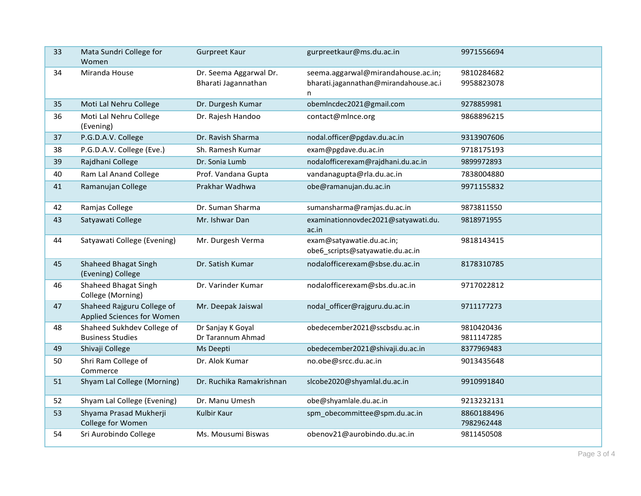| 33 | Mata Sundri College for<br>Women                         | <b>Gurpreet Kaur</b>                          | gurpreetkaur@ms.du.ac.in                                                         | 9971556694               |
|----|----------------------------------------------------------|-----------------------------------------------|----------------------------------------------------------------------------------|--------------------------|
| 34 | Miranda House                                            | Dr. Seema Aggarwal Dr.<br>Bharati Jagannathan | seema.aggarwal@mirandahouse.ac.in;<br>bharati.jagannathan@mirandahouse.ac.i<br>n | 9810284682<br>9958823078 |
| 35 | Moti Lal Nehru College                                   | Dr. Durgesh Kumar                             | obemIncdec2021@gmail.com                                                         | 9278859981               |
| 36 | Moti Lal Nehru College<br>(Evening)                      | Dr. Rajesh Handoo                             | contact@mlnce.org                                                                | 9868896215               |
| 37 | P.G.D.A.V. College                                       | Dr. Ravish Sharma                             | nodal.officer@pgdav.du.ac.in                                                     | 9313907606               |
| 38 | P.G.D.A.V. College (Eve.)                                | Sh. Ramesh Kumar                              | exam@pgdave.du.ac.in                                                             | 9718175193               |
| 39 | Rajdhani College                                         | Dr. Sonia Lumb                                | nodalofficerexam@rajdhani.du.ac.in                                               | 9899972893               |
| 40 | Ram Lal Anand College                                    | Prof. Vandana Gupta                           | vandanagupta@rla.du.ac.in                                                        | 7838004880               |
| 41 | Ramanujan College                                        | Prakhar Wadhwa                                | obe@ramanujan.du.ac.in                                                           | 9971155832               |
| 42 | Ramjas College                                           | Dr. Suman Sharma                              | sumansharma@ramjas.du.ac.in                                                      | 9873811550               |
| 43 | Satyawati College                                        | Mr. Ishwar Dan                                | examinationnovdec2021@satyawati.du.<br>ac.in                                     | 9818971955               |
| 44 | Satyawati College (Evening)                              | Mr. Durgesh Verma                             | exam@satyawatie.du.ac.in;<br>obe6_scripts@satyawatie.du.ac.in                    | 9818143415               |
| 45 | <b>Shaheed Bhagat Singh</b><br>(Evening) College         | Dr. Satish Kumar                              | nodalofficerexam@sbse.du.ac.in                                                   | 8178310785               |
| 46 | Shaheed Bhagat Singh<br>College (Morning)                | Dr. Varinder Kumar                            | nodalofficerexam@sbs.du.ac.in                                                    | 9717022812               |
| 47 | Shaheed Rajguru College of<br>Applied Sciences for Women | Mr. Deepak Jaiswal                            | nodal_officer@rajguru.du.ac.in                                                   | 9711177273               |
| 48 | Shaheed Sukhdev College of<br><b>Business Studies</b>    | Dr Sanjay K Goyal<br>Dr Tarannum Ahmad        | obedecember2021@sscbsdu.ac.in                                                    | 9810420436<br>9811147285 |
| 49 | Shivaji College                                          | Ms Deepti                                     | obedecember2021@shivaji.du.ac.in                                                 | 8377969483               |
| 50 | Shri Ram College of<br>Commerce                          | Dr. Alok Kumar                                | no.obe@srcc.du.ac.in                                                             | 9013435648               |
| 51 | Shyam Lal College (Morning)                              | Dr. Ruchika Ramakrishnan                      | slcobe2020@shyamlal.du.ac.in                                                     | 9910991840               |
| 52 | Shyam Lal College (Evening)                              | Dr. Manu Umesh                                | obe@shyamlale.du.ac.in                                                           | 9213232131               |
| 53 | Shyama Prasad Mukherji<br>College for Women              | Kulbir Kaur                                   | spm_obecommittee@spm.du.ac.in                                                    | 8860188496<br>7982962448 |
| 54 | Sri Aurobindo College                                    | Ms. Mousumi Biswas                            | obenov21@aurobindo.du.ac.in                                                      | 9811450508               |